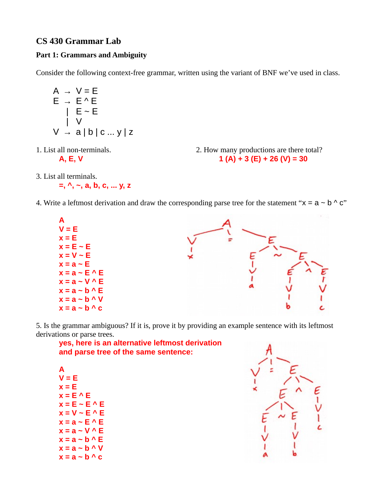## **CS 430 Grammar Lab**

## **Part 1: Grammars and Ambiguity**

Consider the following context-free grammar, written using the variant of BNF we've used in class.

$$
A \rightarrow V = E
$$
  
\n
$$
E \rightarrow E^{\wedge} E
$$
  
\n
$$
| E \sim E
$$
  
\n
$$
| V
$$
  
\n
$$
V \rightarrow a | b | c ... y | z
$$

1. List all non-terminals. 2. How many productions are there total? **A, E, V 1 (A) + 3 (E) + 26 (V) = 30**

3. List all terminals.

$$
=
$$
,  $\land$ ,  $\sim$ , a, b, c, ... y, z

4. Write a leftmost derivation and draw the corresponding parse tree for the statement " $x = a - b$ " c"



5. Is the grammar ambiguous? If it is, prove it by providing an example sentence with its leftmost derivations or parse trees.

| yes, here is an alternative leftmost derivation |
|-------------------------------------------------|
| and parse tree of the same sentence:            |

| A |       |                    |                        |  |
|---|-------|--------------------|------------------------|--|
|   |       | $V = E$            |                        |  |
|   | x = E |                    |                        |  |
|   |       | $x = E^{\wedge} E$ |                        |  |
|   |       |                    | $x = E - E \wedge E$   |  |
|   |       |                    | $x = V - E$ $\wedge$ E |  |
|   |       |                    | $x = a - E \wedge E$   |  |
|   |       |                    | $x = a - V \wedge F$   |  |
|   |       |                    | $x = a - b \wedge E$   |  |
|   |       |                    | $x = a - b \wedge V$   |  |
|   |       |                    | $x = a - b \wedge c$   |  |